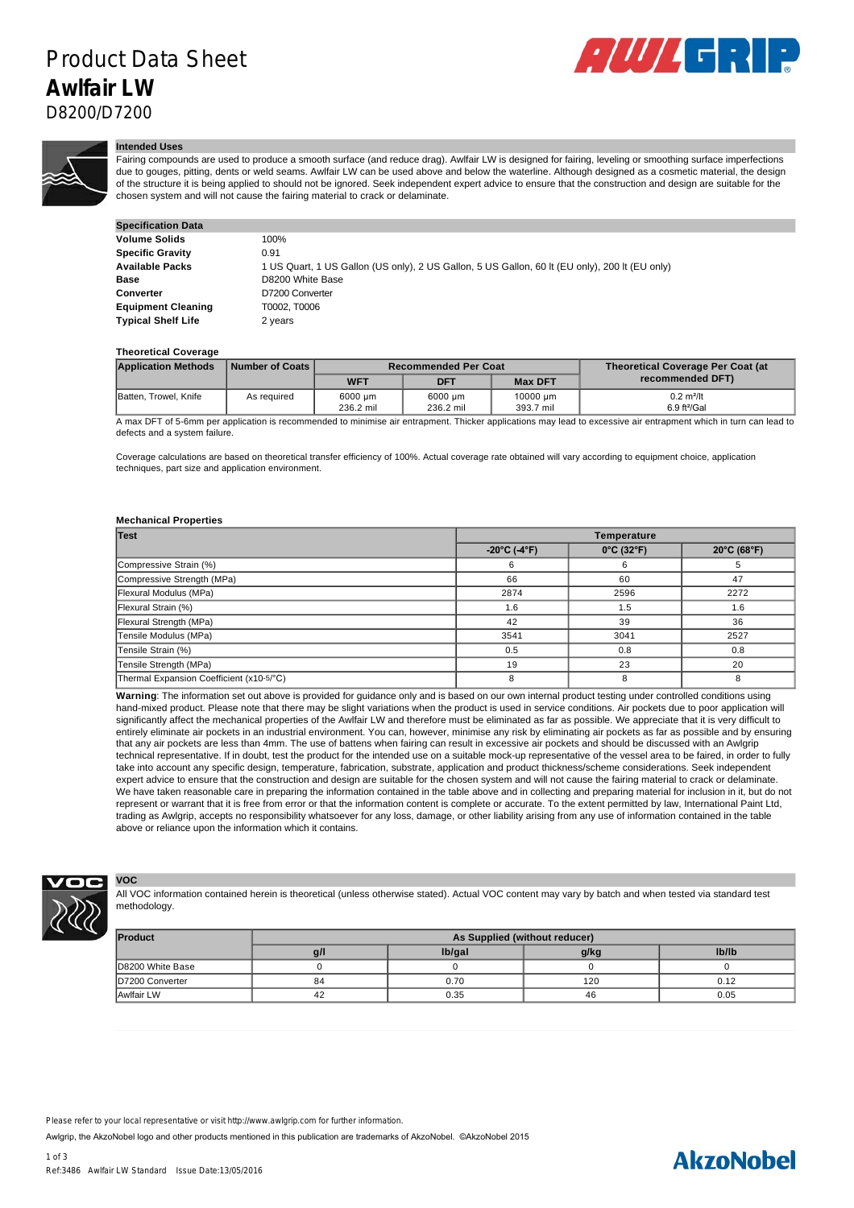

### **Intended Uses**

Fairing compounds are used to produce a smooth surface (and reduce drag). Awlfair LW is designed for fairing, leveling or smoothing surface imperfections due to gouges, pitting, dents or weld seams. Awlfair LW can be used above and below the waterline. Although designed as a cosmetic material, the design of the structure it is being applied to should not be ignored. Seek independent expert advice to ensure that the construction and design are suitable for the chosen system and will not cause the fairing material to crack or delaminate.

| <b>Specification Data</b> |                                                                                                |
|---------------------------|------------------------------------------------------------------------------------------------|
| <b>Volume Solids</b>      | 100%                                                                                           |
| <b>Specific Gravity</b>   | 0.91                                                                                           |
| Available Packs           | 1 US Quart, 1 US Gallon (US only), 2 US Gallon, 5 US Gallon, 60 It (EU only), 200 It (EU only) |
| Base                      | D8200 White Base                                                                               |
| Converter                 | D7200 Converter                                                                                |
| <b>Equipment Cleaning</b> | T0002. T0006                                                                                   |
| <b>Typical Shelf Life</b> | 2 years                                                                                        |

### **Theoretical Coverage**

| <b>Application Methods</b>                                                                                                                                   | Number of Coats | <b>Recommended Per Coat</b> |            |                | <b>Theoretical Coverage Per Coat (at</b> |  |
|--------------------------------------------------------------------------------------------------------------------------------------------------------------|-----------------|-----------------------------|------------|----------------|------------------------------------------|--|
|                                                                                                                                                              |                 | <b>WFT</b>                  | <b>DFT</b> | <b>Max DFT</b> | recommended DFT)                         |  |
| Batten, Trowel, Knife                                                                                                                                        | As required     | 6000 um                     | 6000 um    | 10000 um       | $0.2$ m <sup>2</sup> /lt                 |  |
|                                                                                                                                                              |                 | 236.2 mil                   | 236.2 mil  | 393.7 mil      | $6.9$ ft <sup>2</sup> /Gal               |  |
| A moy DET of E Compass populación la recommendad to minimiza dispotenment. Thiolog profinations moy lead to exceedive dispotenment which in turn par lead to |                 |                             |            |                |                                          |  |

application is recommended to minimise air entrapment. Thicker applications may lead to excessive air entrapment which in turn can lead to defects and a system failure.

Coverage calculations are based on theoretical transfer efficiency of 100%. Actual coverage rate obtained will vary according to equipment choice, application techniques, part size and application environment.

#### **Mechanical Properties**

| Test                                     | <b>Temperature</b>                |                                 |                       |  |  |
|------------------------------------------|-----------------------------------|---------------------------------|-----------------------|--|--|
|                                          | $-20^{\circ}$ C (-4 $^{\circ}$ F) | $0^{\circ}$ C (32 $^{\circ}$ F) | $20^{\circ}$ C (68°F) |  |  |
| Compressive Strain (%)                   |                                   | 6                               |                       |  |  |
| Compressive Strength (MPa)               | 66                                | 60                              | 47                    |  |  |
| Flexural Modulus (MPa)                   | 2874                              | 2596                            | 2272                  |  |  |
| Flexural Strain (%)                      | 1.6                               | 1.5                             | 1.6                   |  |  |
| Flexural Strength (MPa)                  | 42                                | 39                              | 36                    |  |  |
| Tensile Modulus (MPa)                    | 3541                              | 3041                            | 2527                  |  |  |
| Tensile Strain (%)                       | 0.5                               | 0.8                             | 0.8                   |  |  |
| Tensile Strength (MPa)                   | 19                                | 23                              | 20                    |  |  |
| Thermal Expansion Coefficient (x10-5/°C) |                                   | 8                               | 8                     |  |  |

**Warning**: The information set out above is provided for guidance only and is based on our own internal product testing under controlled conditions using hand-mixed product. Please note that there may be slight variations when the product is used in service conditions. Air pockets due to poor application will significantly affect the mechanical properties of the Awlfair LW and therefore must be eliminated as far as possible. We appreciate that it is very difficult to entirely eliminate air pockets in an industrial environment. You can, however, minimise any risk by eliminating air pockets as far as possible and by ensuring that any air pockets are less than 4mm. The use of battens when fairing can result in excessive air pockets and should be discussed with an Awlgrip technical representative. If in doubt, test the product for the intended use on a suitable mock-up representative of the vessel area to be faired, in order to fully take into account any specific design, temperature, fabrication, substrate, application and product thickness/scheme considerations. Seek independent expert advice to ensure that the construction and design are suitable for the chosen system and will not cause the fairing material to crack or delaminate. We have taken reasonable care in preparing the information contained in the table above and in collecting and preparing material for inclusion in it, but do not represent or warrant that it is free from error or that the information content is complete or accurate. To the extent permitted by law, International Paint Ltd, trading as Awlgrip, accepts no responsibility whatsoever for any loss, damage, or other liability arising from any use of information contained in the table above or reliance upon the information which it contains.



**VOC**

All VOC information contained herein is theoretical (unless otherwise stated). Actual VOC content may vary by batch and when tested via standard test methodology.

| Product          | As Supplied (without reducer) |        |      |       |  |
|------------------|-------------------------------|--------|------|-------|--|
|                  | g/l                           | lb/gal | g/kg | Ib/Ib |  |
| D8200 White Base |                               |        |      |       |  |
| D7200 Converter  | 84                            | 0.70   | 120  | 0.12  |  |
| Awlfair LW       | 42                            | 0.35   | 46   | 0.05  |  |

Please refer to your local representative or visit http://www.awlgrip.com for further information.

Awlgrip, the AkzoNobel logo and other products mentioned in this publication are trademarks of AkzoNobel. ©AkzoNobel 2015

# **AkzoNobel**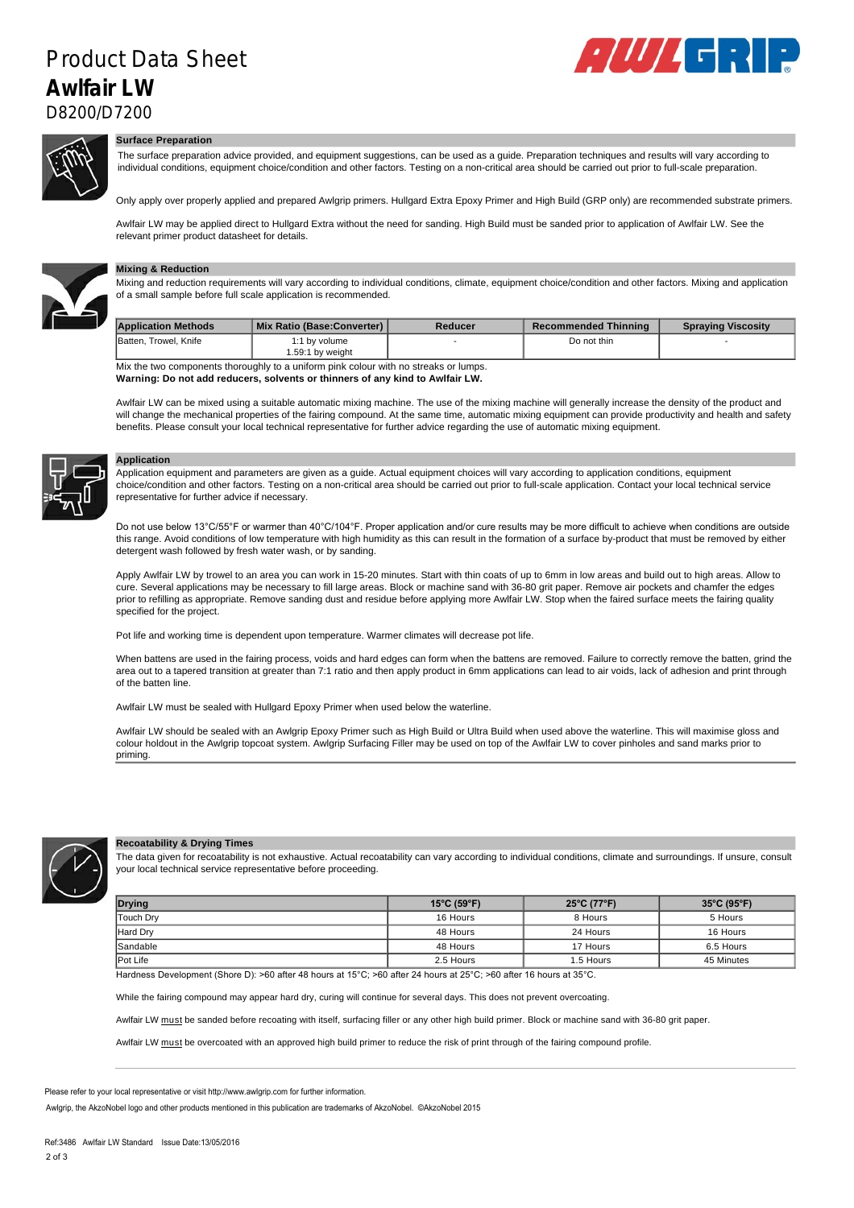## $\Box M$  $\mathbf{L}$  . The contract of  $\mathbf{L}$  and  $\mathbf{L}$  are contract of  $\mathbf{L}$  . The contract of  $\mathbf{L}$ Product Data Sheet **Awlfair LW**



D8200/D7200



# **Surface Preparation**

The surface preparation advice provided, and equipment suggestions, can be used as a guide. Preparation techniques and results will vary according to individual conditions, equipment choice/condition and other factors. Testing on a non-critical area should be carried out prior to full-scale preparation.

Only apply over properly applied and prepared Awlgrip primers. Hullgard Extra Epoxy Primer and High Build (GRP only) are recommended substrate primers.

Awlfair LW may be applied direct to Hullgard Extra without the need for sanding. High Build must be sanded prior to application of Awlfair LW. See the relevant primer product datasheet for details.



# **Mixing & Reduction**

Mixing and reduction requirements will vary according to individual conditions, climate, equipment choice/condition and other factors. Mixing and application of a small sample before full scale application is recommended.

| <b>Application Methods</b>                                                           | Mix Ratio (Base:Converter)        | Reducer | Recommended Thinning | <b>Spraying Viscosity</b> |  |
|--------------------------------------------------------------------------------------|-----------------------------------|---------|----------------------|---------------------------|--|
| Batten, Trowel, Knife                                                                | 1:1 by volume<br>1.59:1 bv weiaht |         | Do not thin          |                           |  |
| Mix the two components thereughly to a uniform pink colour with no strooks or lumns. |                                   |         |                      |                           |  |

Mix the two components thoroughly to a uniform pink colour with no streaks or lumps. **Warning: Do not add reducers, solvents or thinners of any kind to Awlfair LW.**

Awlfair LW can be mixed using a suitable automatic mixing machine. The use of the mixing machine will generally increase the density of the product and will change the mechanical properties of the fairing compound. At the same time, automatic mixing equipment can provide productivity and health and safety benefits. Please consult your local technical representative for further advice regarding the use of automatic mixing equipment.



### **Application**

Application equipment and parameters are given as a guide. Actual equipment choices will vary according to application conditions, equipment choice/condition and other factors. Testing on a non-critical area should be carried out prior to full-scale application. Contact your local technical service representative for further advice if necessary.

Do not use below 13°C/55°F or warmer than 40°C/104°F. Proper application and/or cure results may be more difficult to achieve when conditions are outside this range. Avoid conditions of low temperature with high humidity as this can result in the formation of a surface by-product that must be removed by either detergent wash followed by fresh water wash, or by sanding.

Apply Awlfair LW by trowel to an area you can work in 15-20 minutes. Start with thin coats of up to 6mm in low areas and build out to high areas. Allow to cure. Several applications may be necessary to fill large areas. Block or machine sand with 36-80 grit paper. Remove air pockets and chamfer the edges prior to refilling as appropriate. Remove sanding dust and residue before applying more Awlfair LW. Stop when the faired surface meets the fairing quality specified for the project.

Pot life and working time is dependent upon temperature. Warmer climates will decrease pot life.

When battens are used in the fairing process, voids and hard edges can form when the battens are removed. Failure to correctly remove the batten, grind the area out to a tapered transition at greater than 7:1 ratio and then apply product in 6mm applications can lead to air voids, lack of adhesion and print through of the batten line.

Awlfair LW must be sealed with Hullgard Epoxy Primer when used below the waterline.

Awlfair LW should be sealed with an Awlgrip Epoxy Primer such as High Build or Ultra Build when used above the waterline. This will maximise gloss and colour holdout in the Awlgrip topcoat system. Awlgrip Surfacing Filler may be used on top of the Awlfair LW to cover pinholes and sand marks prior to priming.



### **Recoatability & Drying Times**

The data given for recoatability is not exhaustive. Actual recoatability can vary according to individual conditions, climate and surroundings. If unsure, consult your local technical service representative before proceeding.

| Drying          | $15^{\circ}$ C (59 $^{\circ}$ F) | 25°C (77°F) | $35^{\circ}$ C (95 $^{\circ}$ F) |  |
|-----------------|----------------------------------|-------------|----------------------------------|--|
| Touch Drv       | 16 Hours                         | 8 Hours     | 5 Hours                          |  |
| <b>Hard Drv</b> | 48 Hours                         | 24 Hours    | 16 Hours                         |  |
| <b>Sandable</b> | 48 Hours                         | 17 Hours    | 6.5 Hours                        |  |
| <b>Pot Life</b> | 2.5 Hours                        | .5 Hours    | 45 Minutes                       |  |

Hardness Development (Shore D): >60 after 48 hours at 15°C; >60 after 24 hours at 25°C; >60 after 16 hours at 35°C.

While the fairing compound may appear hard dry, curing will continue for several days. This does not prevent overcoating.

Awlfair LW must be sanded before recoating with itself, surfacing filler or any other high build primer. Block or machine sand with 36-80 grit paper.

Awlfair LW must be overcoated with an approved high build primer to reduce the risk of print through of the fairing compound profile.

Please refer to your local representative or visit http://www.awlgrip.com for further information.

Awlgrip, the AkzoNobel logo and other products mentioned in this publication are trademarks of AkzoNobel. ©AkzoNobel 2015